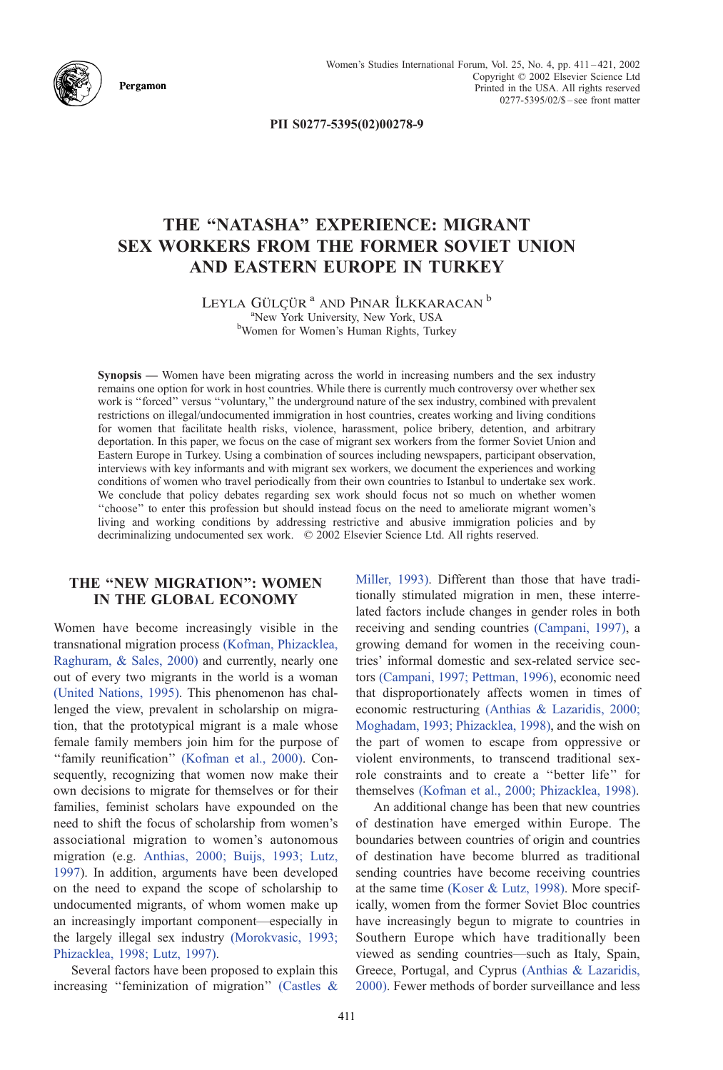

Pergamon

PII S0277-5395(02)00278-9

# THE "NATASHA" EXPERIENCE: MIGRANT SEX WORKERS FROM THE FORMER SOVIET UNION AND EASTERN EUROPE IN TURKEY

Leyla Gülcür<sup>a</sup> and Pinar İlkkaracan <sup>b</sup>

<sup>a</sup>New York University, New York, USA Women for Women's Human Rights, Turkey

Synopsis — Women have been migrating across the world in increasing numbers and the sex industry remains one option for work in host countries. While there is currently much controversy over whether sex work is "forced" versus "voluntary," the underground nature of the sex industry, combined with prevalent restrictions on illegal/undocumented immigration in host countries, creates working and living conditions for women that facilitate health risks, violence, harassment, police bribery, detention, and arbitrary deportation. In this paper, we focus on the case of migrant sex workers from the former Soviet Union and Eastern Europe in Turkey. Using a combination of sources including newspapers, participant observation, interviews with key informants and with migrant sex workers, we document the experiences and working conditions of women who travel periodically from their own countries to Istanbul to undertake sex work. We conclude that policy debates regarding sex work should focus not so much on whether women ''choose'' to enter this profession but should instead focus on the need to ameliorate migrant women's living and working conditions by addressing restrictive and abusive immigration policies and by decriminalizing undocumented sex work.  $\oslash$  2002 Elsevier Science Ltd. All rights reserved.

# THE "NEW MIGRATION": WOMEN IN THE GLOBAL ECONOMY

Women have become increasingly visible in the transnational migration process [\(Kofman, Phizacklea,](#page-9-0) Raghuram, & Sales, 2000) and currently, nearly one out of every two migrants in the world is a woman [\(United Nations, 1995\).](#page-10-0) This phenomenon has challenged the view, prevalent in scholarship on migration, that the prototypical migrant is a male whose female family members join him for the purpose of ''family reunification'' [\(Kofman et al., 2000\).](#page-9-0) Consequently, recognizing that women now make their own decisions to migrate for themselves or for their families, feminist scholars have expounded on the need to shift the focus of scholarship from women's associational migration to women's autonomous migration (e.g. [Anthias, 2000; Buijs, 1993; Lutz,](#page-9-0) 1997). In addition, arguments have been developed on the need to expand the scope of scholarship to undocumented migrants, of whom women make up an increasingly important component—especially in the largely illegal sex industry [\(Morokvasic, 1993;](#page-9-0) Phizacklea, 1998; Lutz, 1997).

Several factors have been proposed to explain this increasing ''feminization of migration'' [\(Castles &](#page-9-0)

Miller, 1993). Different than those that have traditionally stimulated migration in men, these interrelated factors include changes in gender roles in both receiving and sending countries [\(Campani, 1997\),](#page-9-0) a growing demand for women in the receiving countries' informal domestic and sex-related service sectors [\(Campani, 1997; Pettman, 1996\),](#page-9-0) economic need that disproportionately affects women in times of economic restructuring [\(Anthias & Lazaridis, 2000;](#page-9-0) Moghadam, 1993; Phizacklea, 1998), and the wish on the part of women to escape from oppressive or violent environments, to transcend traditional sexrole constraints and to create a ''better life'' for themselves [\(Kofman et al., 2000; Phizacklea, 1998\).](#page-9-0)

An additional change has been that new countries of destination have emerged within Europe. The boundaries between countries of origin and countries of destination have become blurred as traditional sending countries have become receiving countries at the same time [\(Koser & Lutz, 1998\).](#page-9-0) More specifically, women from the former Soviet Bloc countries have increasingly begun to migrate to countries in Southern Europe which have traditionally been viewed as sending countries—such as Italy, Spain, Greece, Portugal, and Cyprus [\(Anthias & Lazaridis,](#page-9-0) 2000). Fewer methods of border surveillance and less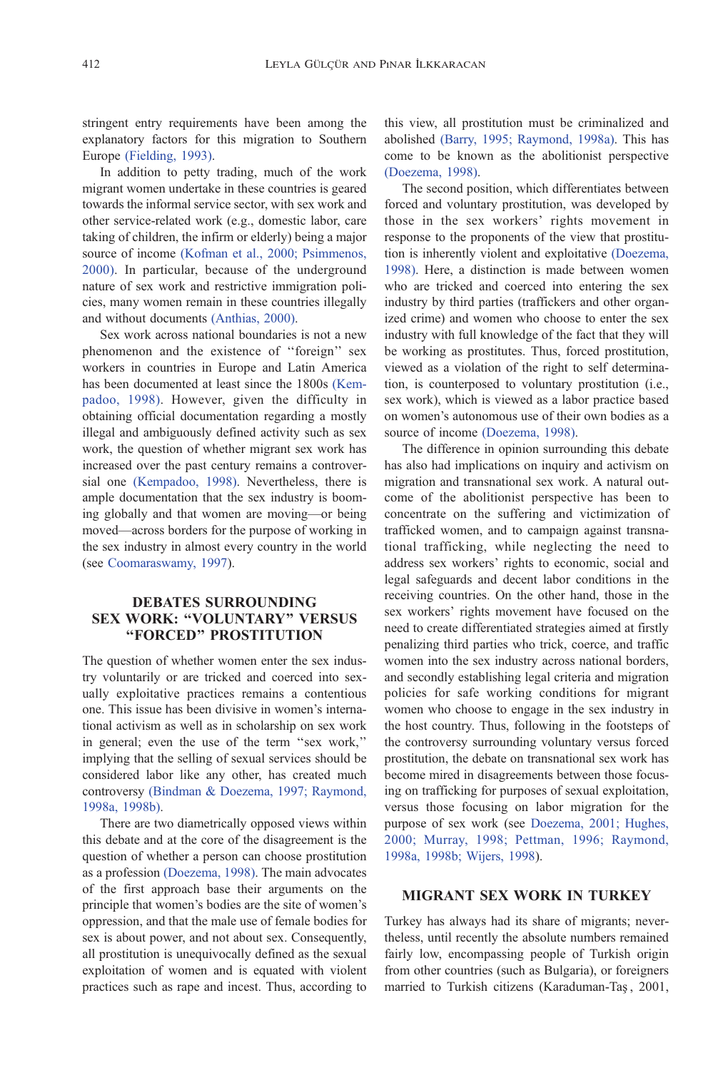stringent entry requirements have been among the explanatory factors for this migration to Southern Europe [\(Fielding, 1993\).](#page-9-0)

In addition to petty trading, much of the work migrant women undertake in these countries is geared towards the informal service sector, with sex work and other service-related work (e.g., domestic labor, care taking of children, the infirm or elderly) being a major source of income [\(Kofman et al., 2000; Psimmenos,](#page-9-0) 2000). In particular, because of the underground nature of sex work and restrictive immigration policies, many women remain in these countries illegally and without documents [\(Anthias, 2000\).](#page-9-0)

Sex work across national boundaries is not a new phenomenon and the existence of ''foreign'' sex workers in countries in Europe and Latin America has been documented at least since the 1800s [\(Kem](#page-9-0)padoo, 1998). However, given the difficulty in obtaining official documentation regarding a mostly illegal and ambiguously defined activity such as sex work, the question of whether migrant sex work has increased over the past century remains a controversial one [\(Kempadoo, 1998\).](#page-9-0) Nevertheless, there is ample documentation that the sex industry is booming globally and that women are moving—or being moved—across borders for the purpose of working in the sex industry in almost every country in the world (see [Coomaraswamy, 1997\)](#page-9-0).

## DEBATES SURROUNDING SEX WORK: ''VOLUNTARY'' VERSUS ''FORCED'' PROSTITUTION

The question of whether women enter the sex industry voluntarily or are tricked and coerced into sexually exploitative practices remains a contentious one. This issue has been divisive in women's international activism as well as in scholarship on sex work in general; even the use of the term ''sex work,'' implying that the selling of sexual services should be considered labor like any other, has created much controversy [\(Bindman & Doezema, 1997; Raymond,](#page-9-0) 1998a, 1998b).

There are two diametrically opposed views within this debate and at the core of the disagreement is the question of whether a person can choose prostitution as a profession [\(Doezema, 1998\).](#page-9-0) The main advocates of the first approach base their arguments on the principle that women's bodies are the site of women's oppression, and that the male use of female bodies for sex is about power, and not about sex. Consequently, all prostitution is unequivocally defined as the sexual exploitation of women and is equated with violent practices such as rape and incest. Thus, according to

this view, all prostitution must be criminalized and abolished [\(Barry, 1995; Raymond, 1998a\).](#page-9-0) This has come to be known as the abolitionist perspective [\(Doezema, 1998\).](#page-9-0)

The second position, which differentiates between forced and voluntary prostitution, was developed by those in the sex workers' rights movement in response to the proponents of the view that prostitution is inherently violent and exploitative [\(Doezema,](#page-9-0) 1998). Here, a distinction is made between women who are tricked and coerced into entering the sex industry by third parties (traffickers and other organized crime) and women who choose to enter the sex industry with full knowledge of the fact that they will be working as prostitutes. Thus, forced prostitution, viewed as a violation of the right to self determination, is counterposed to voluntary prostitution (i.e., sex work), which is viewed as a labor practice based on women's autonomous use of their own bodies as a source of income [\(Doezema, 1998\).](#page-9-0)

The difference in opinion surrounding this debate has also had implications on inquiry and activism on migration and transnational sex work. A natural outcome of the abolitionist perspective has been to concentrate on the suffering and victimization of trafficked women, and to campaign against transnational trafficking, while neglecting the need to address sex workers' rights to economic, social and legal safeguards and decent labor conditions in the receiving countries. On the other hand, those in the sex workers' rights movement have focused on the need to create differentiated strategies aimed at firstly penalizing third parties who trick, coerce, and traffic women into the sex industry across national borders, and secondly establishing legal criteria and migration policies for safe working conditions for migrant women who choose to engage in the sex industry in the host country. Thus, following in the footsteps of the controversy surrounding voluntary versus forced prostitution, the debate on transnational sex work has become mired in disagreements between those focusing on trafficking for purposes of sexual exploitation, versus those focusing on labor migration for the purpose of sex work (see [Doezema, 2001; Hughes,](#page-9-0) 2000; Murray, 1998; Pettman, 1996; Raymond, 1998a, 1998b; Wijers, 1998).

## MIGRANT SEX WORK IN TURKEY

Turkey has always had its share of migrants; nevertheless, until recently the absolute numbers remained fairly low, encompassing people of Turkish origin from other countries (such as Bulgaria), or foreigners married to Turkish citizens (Karaduman-Tas , 2001,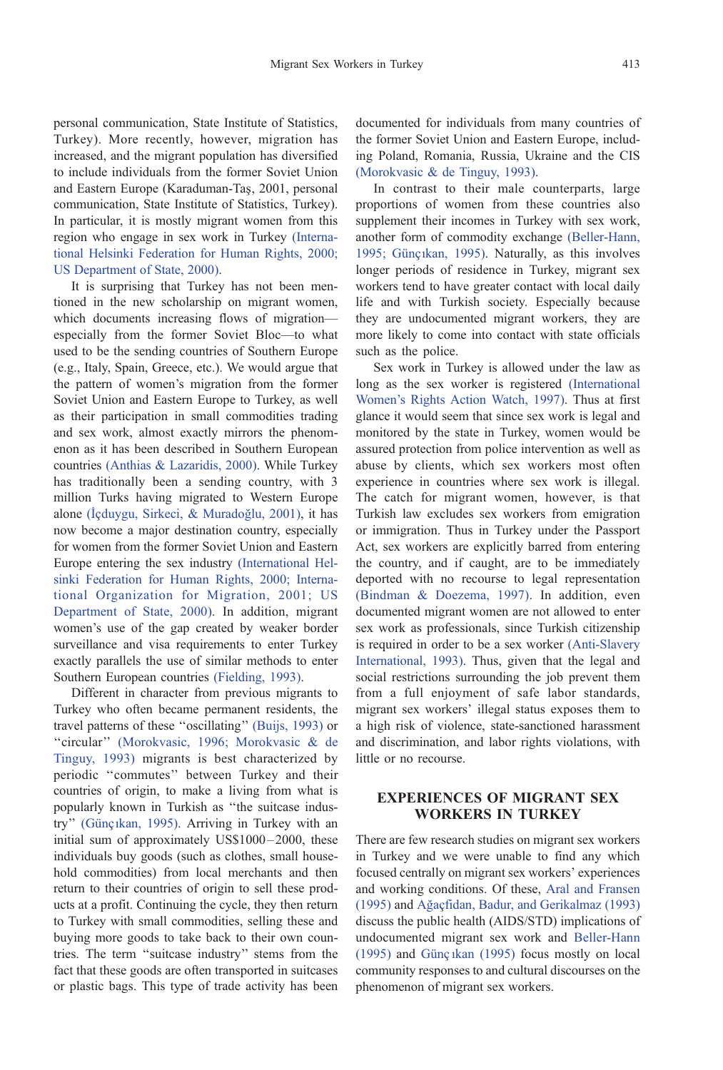personal communication, State Institute of Statistics, Turkey). More recently, however, migration has increased, and the migrant population has diversified to include individuals from the former Soviet Union and Eastern Europe (Karaduman-Tas, 2001, personal communication, State Institute of Statistics, Turkey). In particular, it is mostly migrant women from this region who engage in sex work in Turkey [\(Interna](#page-9-0)tional Helsinki Federation for Human Rights, 2000; US Department of State, 2000).

It is surprising that Turkey has not been mentioned in the new scholarship on migrant women, which documents increasing flows of migration especially from the former Soviet Bloc—to what used to be the sending countries of Southern Europe (e.g., Italy, Spain, Greece, etc.). We would argue that the pattern of women's migration from the former Soviet Union and Eastern Europe to Turkey, as well as their participation in small commodities trading and sex work, almost exactly mirrors the phenomenon as it has been described in Southern European countries [\(Anthias & Lazaridis, 2000\).](#page-9-0) While Turkey has traditionally been a sending country, with 3 million Turks having migrated to Western Europe alone (İçduygu, Sirkeci, & Muradoğlu, 2001), it has now become a major destination country, especially for women from the former Soviet Union and Eastern Europe entering the sex industry [\(International Hel](#page-9-0)sinki Federation for Human Rights, 2000; International Organization for Migration, 2001; US Department of State, 2000). In addition, migrant women's use of the gap created by weaker border surveillance and visa requirements to enter Turkey exactly parallels the use of similar methods to enter Southern European countries [\(Fielding, 1993\).](#page-9-0)

Different in character from previous migrants to Turkey who often became permanent residents, the travel patterns of these ''oscillating'' [\(Buijs, 1993\)](#page-9-0) or ''circular'' [\(Morokvasic, 1996; Morokvasic & de](#page-9-0) Tinguy, 1993) migrants is best characterized by periodic ''commutes'' between Turkey and their countries of origin, to make a living from what is popularly known in Turkish as ''the suitcase industry" (Günç[ıkan, 1995\).](#page-9-0) Arriving in Turkey with an initial sum of approximately US\$1000-2000, these individuals buy goods (such as clothes, small household commodities) from local merchants and then return to their countries of origin to sell these products at a profit. Continuing the cycle, they then return to Turkey with small commodities, selling these and buying more goods to take back to their own countries. The term ''suitcase industry'' stems from the fact that these goods are often transported in suitcases or plastic bags. This type of trade activity has been documented for individuals from many countries of the former Soviet Union and Eastern Europe, including Poland, Romania, Russia, Ukraine and the CIS [\(Morokvasic & de Tinguy, 1993\).](#page-9-0)

In contrast to their male counterparts, large proportions of women from these countries also supplement their incomes in Turkey with sex work, another form of commodity exchange [\(Beller-Hann,](#page-9-0) 1995; Günçıkan, 1995). Naturally, as this involves longer periods of residence in Turkey, migrant sex workers tend to have greater contact with local daily life and with Turkish society. Especially because they are undocumented migrant workers, they are more likely to come into contact with state officials such as the police.

Sex work in Turkey is allowed under the law as long as the sex worker is registered [\(International](#page-9-0) Women's Rights Action Watch, 1997). Thus at first glance it would seem that since sex work is legal and monitored by the state in Turkey, women would be assured protection from police intervention as well as abuse by clients, which sex workers most often experience in countries where sex work is illegal. The catch for migrant women, however, is that Turkish law excludes sex workers from emigration or immigration. Thus in Turkey under the Passport Act, sex workers are explicitly barred from entering the country, and if caught, are to be immediately deported with no recourse to legal representation [\(Bindman & Doezema, 1997\).](#page-9-0) In addition, even documented migrant women are not allowed to enter sex work as professionals, since Turkish citizenship is required in order to be a sex worker [\(Anti-Slavery](#page-9-0) International, 1993). Thus, given that the legal and social restrictions surrounding the job prevent them from a full enjoyment of safe labor standards, migrant sex workers' illegal status exposes them to a high risk of violence, state-sanctioned harassment and discrimination, and labor rights violations, with little or no recourse.

# EXPERIENCES OF MIGRANT SEX WORKERS IN TURKEY

There are few research studies on migrant sex workers in Turkey and we were unable to find any which focused centrally on migrant sex workers' experiences and working conditions. Of these, [Aral and Fransen](#page-9-0) (1995) and Ağaç[fidan, Badur, and Gerikalmaz \(1993\)](#page-9-0) discuss the public health (AIDS/STD) implications of undocumented migrant sex work and [Beller-Hann](#page-9-0)  $(1995)$  and Günç ıkan  $(1995)$  focus mostly on local community responses to and cultural discourses on the phenomenon of migrant sex workers.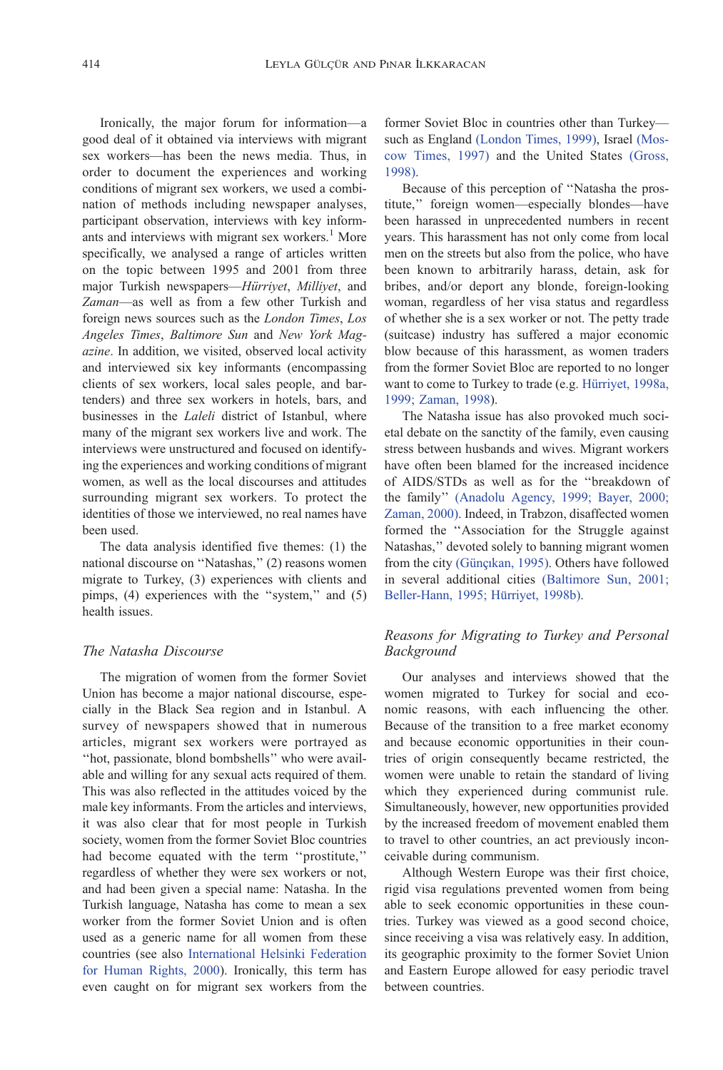Ironically, the major forum for information—a good deal of it obtained via interviews with migrant sex workers—has been the news media. Thus, in order to document the experiences and working conditions of migrant sex workers, we used a combination of methods including newspaper analyses, participant observation, interviews with key informants and interviews with migrant sex workers. $<sup>1</sup>$  More</sup> specifically, we analysed a range of articles written on the topic between 1995 and 2001 from three major Turkish newspapers—Hürriyet, Milliyet, and Zaman—as well as from a few other Turkish and foreign news sources such as the London Times, Los Angeles Times, Baltimore Sun and New York Magazine. In addition, we visited, observed local activity and interviewed six key informants (encompassing clients of sex workers, local sales people, and bartenders) and three sex workers in hotels, bars, and businesses in the *Laleli* district of Istanbul, where many of the migrant sex workers live and work. The interviews were unstructured and focused on identifying the experiences and working conditions of migrant women, as well as the local discourses and attitudes surrounding migrant sex workers. To protect the identities of those we interviewed, no real names have been used.

The data analysis identified five themes: (1) the national discourse on ''Natashas,'' (2) reasons women migrate to Turkey, (3) experiences with clients and pimps, (4) experiences with the "system," and (5) health issues.

#### The Natasha Discourse

The migration of women from the former Soviet Union has become a major national discourse, especially in the Black Sea region and in Istanbul. A survey of newspapers showed that in numerous articles, migrant sex workers were portrayed as ''hot, passionate, blond bombshells'' who were available and willing for any sexual acts required of them. This was also reflected in the attitudes voiced by the male key informants. From the articles and interviews, it was also clear that for most people in Turkish society, women from the former Soviet Bloc countries had become equated with the term ''prostitute,'' regardless of whether they were sex workers or not, and had been given a special name: Natasha. In the Turkish language, Natasha has come to mean a sex worker from the former Soviet Union and is often used as a generic name for all women from these countries (see also [International Helsinki Federation](#page-9-0) for Human Rights, 2000). Ironically, this term has even caught on for migrant sex workers from the

former Soviet Bloc in countries other than Turkey such as England [\(London Times, 1999\),](#page-9-0) Israel [\(Mos](#page-9-0)cow Times, 1997) and the United States [\(Gross,](#page-9-0) 1998).

Because of this perception of ''Natasha the prostitute,'' foreign women—especially blondes—have been harassed in unprecedented numbers in recent years. This harassment has not only come from local men on the streets but also from the police, who have been known to arbitrarily harass, detain, ask for bribes, and/or deport any blonde, foreign-looking woman, regardless of her visa status and regardless of whether she is a sex worker or not. The petty trade (suitcase) industry has suffered a major economic blow because of this harassment, as women traders from the former Soviet Bloc are reported to no longer want to come to Turkey to trade (e.g. Hürriyet, 1998a, 1999; Zaman, 1998).

The Natasha issue has also provoked much societal debate on the sanctity of the family, even causing stress between husbands and wives. Migrant workers have often been blamed for the increased incidence of AIDS/STDs as well as for the ''breakdown of the family'' [\(Anadolu Agency, 1999; Bayer, 2000;](#page-9-0) Zaman, 2000). Indeed, in Trabzon, disaffected women formed the ''Association for the Struggle against Natashas,'' devoted solely to banning migrant women from the city (Günç[ıkan, 1995\).](#page-9-0) Others have followed in several additional cities [\(Baltimore Sun, 2001;](#page-9-0) Beller-Hann, 1995; Hürriyet, 1998b).

# Reasons for Migrating to Turkey and Personal Background

Our analyses and interviews showed that the women migrated to Turkey for social and economic reasons, with each influencing the other. Because of the transition to a free market economy and because economic opportunities in their countries of origin consequently became restricted, the women were unable to retain the standard of living which they experienced during communist rule. Simultaneously, however, new opportunities provided by the increased freedom of movement enabled them to travel to other countries, an act previously inconceivable during communism.

Although Western Europe was their first choice, rigid visa regulations prevented women from being able to seek economic opportunities in these countries. Turkey was viewed as a good second choice, since receiving a visa was relatively easy. In addition, its geographic proximity to the former Soviet Union and Eastern Europe allowed for easy periodic travel between countries.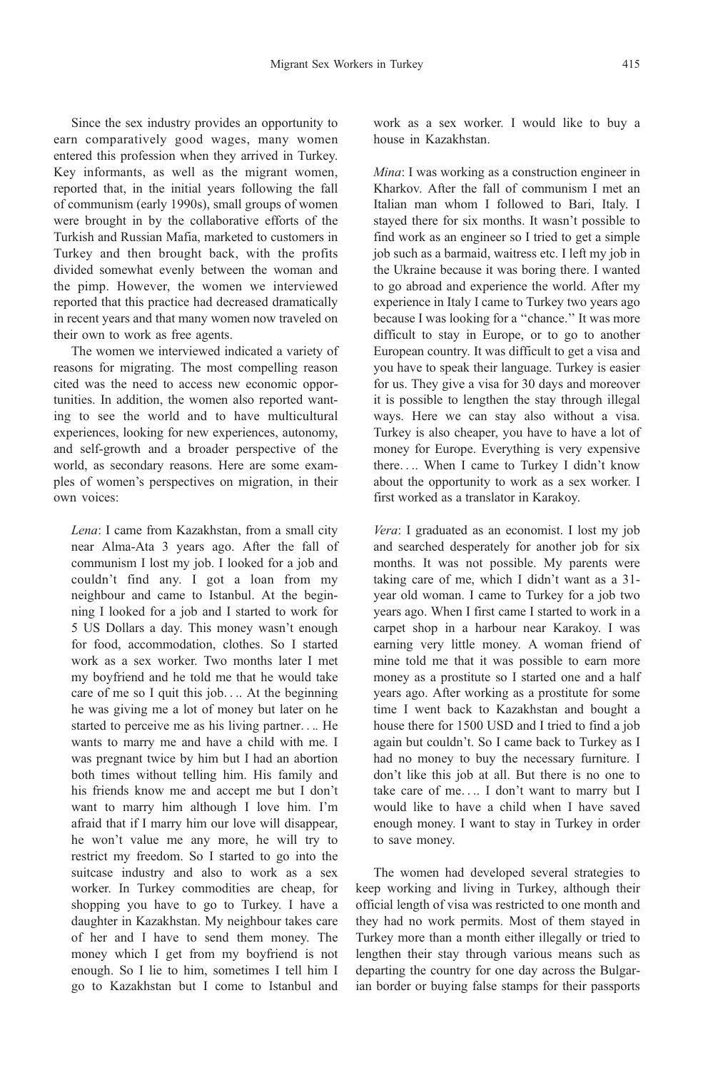Since the sex industry provides an opportunity to earn comparatively good wages, many women entered this profession when they arrived in Turkey. Key informants, as well as the migrant women, reported that, in the initial years following the fall of communism (early 1990s), small groups of women were brought in by the collaborative efforts of the Turkish and Russian Mafia, marketed to customers in Turkey and then brought back, with the profits divided somewhat evenly between the woman and the pimp. However, the women we interviewed reported that this practice had decreased dramatically in recent years and that many women now traveled on their own to work as free agents.

The women we interviewed indicated a variety of reasons for migrating. The most compelling reason cited was the need to access new economic opportunities. In addition, the women also reported wanting to see the world and to have multicultural experiences, looking for new experiences, autonomy, and self-growth and a broader perspective of the world, as secondary reasons. Here are some examples of women's perspectives on migration, in their own voices:

Lena: I came from Kazakhstan, from a small city near Alma-Ata 3 years ago. After the fall of communism I lost my job. I looked for a job and couldn't find any. I got a loan from my neighbour and came to Istanbul. At the beginning I looked for a job and I started to work for 5 US Dollars a day. This money wasn't enough for food, accommodation, clothes. So I started work as a sex worker. Two months later I met my boyfriend and he told me that he would take care of me so I quit this job.... At the beginning he was giving me a lot of money but later on he started to perceive me as his living partner.... He wants to marry me and have a child with me. I was pregnant twice by him but I had an abortion both times without telling him. His family and his friends know me and accept me but I don't want to marry him although I love him. I'm afraid that if I marry him our love will disappear, he won't value me any more, he will try to restrict my freedom. So I started to go into the suitcase industry and also to work as a sex worker. In Turkey commodities are cheap, for shopping you have to go to Turkey. I have a daughter in Kazakhstan. My neighbour takes care of her and I have to send them money. The money which I get from my boyfriend is not enough. So I lie to him, sometimes I tell him I go to Kazakhstan but I come to Istanbul and work as a sex worker. I would like to buy a house in Kazakhstan.

Mina: I was working as a construction engineer in Kharkov. After the fall of communism I met an Italian man whom I followed to Bari, Italy. I stayed there for six months. It wasn't possible to find work as an engineer so I tried to get a simple job such as a barmaid, waitress etc. I left my job in the Ukraine because it was boring there. I wanted to go abroad and experience the world. After my experience in Italy I came to Turkey two years ago because I was looking for a ''chance.'' It was more difficult to stay in Europe, or to go to another European country. It was difficult to get a visa and you have to speak their language. Turkey is easier for us. They give a visa for 30 days and moreover it is possible to lengthen the stay through illegal ways. Here we can stay also without a visa. Turkey is also cheaper, you have to have a lot of money for Europe. Everything is very expensive there.... When I came to Turkey I didn't know about the opportunity to work as a sex worker. I first worked as a translator in Karakoy.

Vera: I graduated as an economist. I lost my job and searched desperately for another job for six months. It was not possible. My parents were taking care of me, which I didn't want as a 31 year old woman. I came to Turkey for a job two years ago. When I first came I started to work in a carpet shop in a harbour near Karakoy. I was earning very little money. A woman friend of mine told me that it was possible to earn more money as a prostitute so I started one and a half years ago. After working as a prostitute for some time I went back to Kazakhstan and bought a house there for 1500 USD and I tried to find a job again but couldn't. So I came back to Turkey as I had no money to buy the necessary furniture. I don't like this job at all. But there is no one to take care of me.... I don't want to marry but I would like to have a child when I have saved enough money. I want to stay in Turkey in order to save money.

The women had developed several strategies to keep working and living in Turkey, although their official length of visa was restricted to one month and they had no work permits. Most of them stayed in Turkey more than a month either illegally or tried to lengthen their stay through various means such as departing the country for one day across the Bulgarian border or buying false stamps for their passports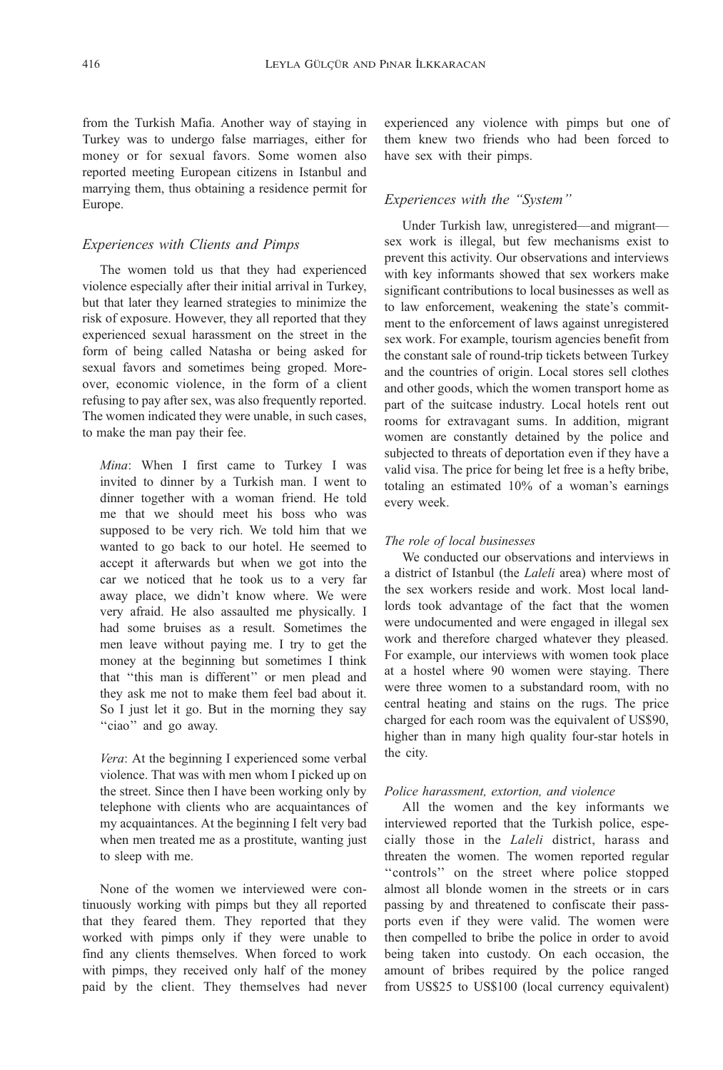from the Turkish Mafia. Another way of staying in Turkey was to undergo false marriages, either for money or for sexual favors. Some women also reported meeting European citizens in Istanbul and marrying them, thus obtaining a residence permit for Europe.

#### Experiences with Clients and Pimps

The women told us that they had experienced violence especially after their initial arrival in Turkey, but that later they learned strategies to minimize the risk of exposure. However, they all reported that they experienced sexual harassment on the street in the form of being called Natasha or being asked for sexual favors and sometimes being groped. Moreover, economic violence, in the form of a client refusing to pay after sex, was also frequently reported. The women indicated they were unable, in such cases, to make the man pay their fee.

Mina: When I first came to Turkey I was invited to dinner by a Turkish man. I went to dinner together with a woman friend. He told me that we should meet his boss who was supposed to be very rich. We told him that we wanted to go back to our hotel. He seemed to accept it afterwards but when we got into the car we noticed that he took us to a very far away place, we didn't know where. We were very afraid. He also assaulted me physically. I had some bruises as a result. Sometimes the men leave without paying me. I try to get the money at the beginning but sometimes I think that ''this man is different'' or men plead and they ask me not to make them feel bad about it. So I just let it go. But in the morning they say "ciao" and go away.

Vera: At the beginning I experienced some verbal violence. That was with men whom I picked up on the street. Since then I have been working only by telephone with clients who are acquaintances of my acquaintances. At the beginning I felt very bad when men treated me as a prostitute, wanting just to sleep with me.

None of the women we interviewed were continuously working with pimps but they all reported that they feared them. They reported that they worked with pimps only if they were unable to find any clients themselves. When forced to work with pimps, they received only half of the money paid by the client. They themselves had never experienced any violence with pimps but one of them knew two friends who had been forced to have sex with their pimps.

## Experiences with the ''System''

Under Turkish law, unregistered—and migrant sex work is illegal, but few mechanisms exist to prevent this activity. Our observations and interviews with key informants showed that sex workers make significant contributions to local businesses as well as to law enforcement, weakening the state's commitment to the enforcement of laws against unregistered sex work. For example, tourism agencies benefit from the constant sale of round-trip tickets between Turkey and the countries of origin. Local stores sell clothes and other goods, which the women transport home as part of the suitcase industry. Local hotels rent out rooms for extravagant sums. In addition, migrant women are constantly detained by the police and subjected to threats of deportation even if they have a valid visa. The price for being let free is a hefty bribe, totaling an estimated 10% of a woman's earnings every week.

### The role of local businesses

We conducted our observations and interviews in a district of Istanbul (the Laleli area) where most of the sex workers reside and work. Most local landlords took advantage of the fact that the women were undocumented and were engaged in illegal sex work and therefore charged whatever they pleased. For example, our interviews with women took place at a hostel where 90 women were staying. There were three women to a substandard room, with no central heating and stains on the rugs. The price charged for each room was the equivalent of US\$90, higher than in many high quality four-star hotels in the city.

#### Police harassment, extortion, and violence

All the women and the key informants we interviewed reported that the Turkish police, especially those in the Laleli district, harass and threaten the women. The women reported regular ''controls'' on the street where police stopped almost all blonde women in the streets or in cars passing by and threatened to confiscate their passports even if they were valid. The women were then compelled to bribe the police in order to avoid being taken into custody. On each occasion, the amount of bribes required by the police ranged from US\$25 to US\$100 (local currency equivalent)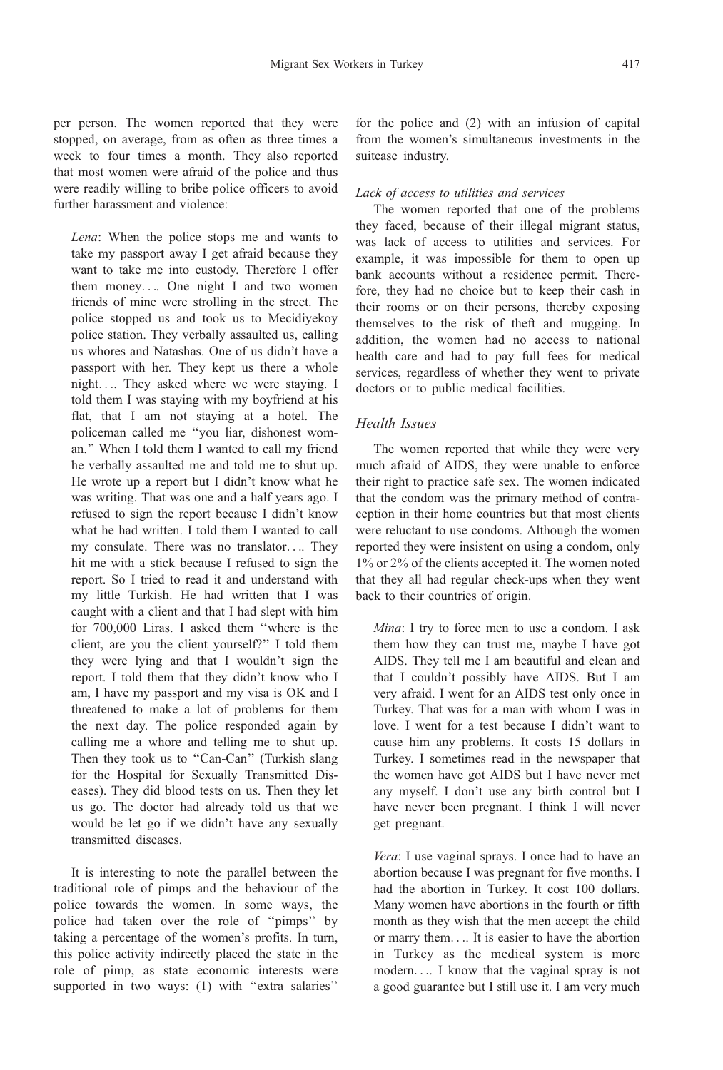per person. The women reported that they were stopped, on average, from as often as three times a week to four times a month. They also reported that most women were afraid of the police and thus were readily willing to bribe police officers to avoid further harassment and violence:

Lena: When the police stops me and wants to take my passport away I get afraid because they want to take me into custody. Therefore I offer them money.... One night I and two women friends of mine were strolling in the street. The police stopped us and took us to Mecidiyekoy police station. They verbally assaulted us, calling us whores and Natashas. One of us didn't have a passport with her. They kept us there a whole night.... They asked where we were staying. I told them I was staying with my boyfriend at his flat, that I am not staying at a hotel. The policeman called me ''you liar, dishonest woman.'' When I told them I wanted to call my friend he verbally assaulted me and told me to shut up. He wrote up a report but I didn't know what he was writing. That was one and a half years ago. I refused to sign the report because I didn't know what he had written. I told them I wanted to call my consulate. There was no translator.... They hit me with a stick because I refused to sign the report. So I tried to read it and understand with my little Turkish. He had written that I was caught with a client and that I had slept with him for 700,000 Liras. I asked them ''where is the client, are you the client yourself?'' I told them they were lying and that I wouldn't sign the report. I told them that they didn't know who I am, I have my passport and my visa is OK and I threatened to make a lot of problems for them the next day. The police responded again by calling me a whore and telling me to shut up. Then they took us to "Can-Can" (Turkish slang for the Hospital for Sexually Transmitted Diseases). They did blood tests on us. Then they let us go. The doctor had already told us that we would be let go if we didn't have any sexually transmitted diseases.

It is interesting to note the parallel between the traditional role of pimps and the behaviour of the police towards the women. In some ways, the police had taken over the role of ''pimps'' by taking a percentage of the women's profits. In turn, this police activity indirectly placed the state in the role of pimp, as state economic interests were supported in two ways: (1) with ''extra salaries'' for the police and (2) with an infusion of capital from the women's simultaneous investments in the suitcase industry.

#### Lack of access to utilities and services

The women reported that one of the problems they faced, because of their illegal migrant status, was lack of access to utilities and services. For example, it was impossible for them to open up bank accounts without a residence permit. Therefore, they had no choice but to keep their cash in their rooms or on their persons, thereby exposing themselves to the risk of theft and mugging. In addition, the women had no access to national health care and had to pay full fees for medical services, regardless of whether they went to private doctors or to public medical facilities.

#### Health Issues

The women reported that while they were very much afraid of AIDS, they were unable to enforce their right to practice safe sex. The women indicated that the condom was the primary method of contraception in their home countries but that most clients were reluctant to use condoms. Although the women reported they were insistent on using a condom, only 1% or 2% of the clients accepted it. The women noted that they all had regular check-ups when they went back to their countries of origin.

Mina: I try to force men to use a condom. I ask them how they can trust me, maybe I have got AIDS. They tell me I am beautiful and clean and that I couldn't possibly have AIDS. But I am very afraid. I went for an AIDS test only once in Turkey. That was for a man with whom I was in love. I went for a test because I didn't want to cause him any problems. It costs 15 dollars in Turkey. I sometimes read in the newspaper that the women have got AIDS but I have never met any myself. I don't use any birth control but I have never been pregnant. I think I will never get pregnant.

Vera: I use vaginal sprays. I once had to have an abortion because I was pregnant for five months. I had the abortion in Turkey. It cost 100 dollars. Many women have abortions in the fourth or fifth month as they wish that the men accept the child or marry them.... It is easier to have the abortion in Turkey as the medical system is more modern.... I know that the vaginal spray is not a good guarantee but I still use it. I am very much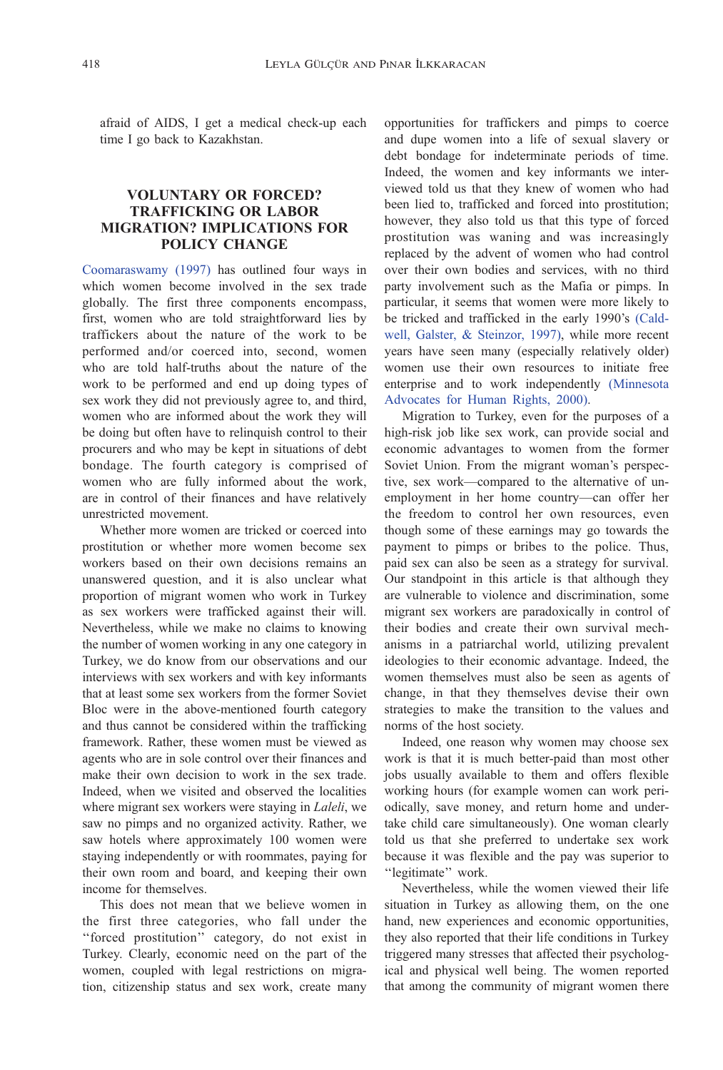afraid of AIDS, I get a medical check-up each time I go back to Kazakhstan.

## VOLUNTARY OR FORCED? TRAFFICKING OR LABOR MIGRATION? IMPLICATIONS FOR POLICY CHANGE

Co[omaraswamy \(1997\)](#page-9-0) has outlined four ways in which women become involved in the sex trade globally. The first three components encompass, first, women who are told straightforward lies by traffickers about the nature of the work to be performed and/or coerced into, second, women who are told half-truths about the nature of the work to be performed and end up doing types of sex work they did not previously agree to, and third, women who are informed about the work they will be doing but often have to relinquish control to their procurers and who may be kept in situations of debt bondage. The fourth category is comprised of women who are fully informed about the work, are in control of their finances and have relatively unrestricted movement.

Whether more women are tricked or coerced into prostitution or whether more women become sex workers based on their own decisions remains an unanswered question, and it is also unclear what proportion of migrant women who work in Turkey as sex workers were trafficked against their will. Nevertheless, while we make no claims to knowing the number of women working in any one category in Turkey, we do know from our observations and our interviews with sex workers and with key informants that at least some sex workers from the former Soviet Bloc were in the above-mentioned fourth category and thus cannot be considered within the trafficking framework. Rather, these women must be viewed as agents who are in sole control over their finances and make their own decision to work in the sex trade. Indeed, when we visited and observed the localities where migrant sex workers were staying in *Laleli*, we saw no pimps and no organized activity. Rather, we saw hotels where approximately 100 women were staying independently or with roommates, paying for their own room and board, and keeping their own income for themselves.

This does not mean that we believe women in the first three categories, who fall under the ''forced prostitution'' category, do not exist in Turkey. Clearly, economic need on the part of the women, coupled with legal restrictions on migration, citizenship status and sex work, create many

opportunities for traffickers and pimps to coerce and dupe women into a life of sexual slavery or debt bondage for indeterminate periods of time. Indeed, the women and key informants we interviewed told us that they knew of women who had been lied to, trafficked and forced into prostitution; however, they also told us that this type of forced prostitution was waning and was increasingly replaced by the advent of women who had control over their own bodies and services, with no third party involvement such as the Mafia or pimps. In particular, it seems that women were more likely to be tricked and trafficked in the early 1990's [\(Cald](#page-9-0)well, Galster, & Steinzor, 1997), while more recent years have seen many (especially relatively older) women use their own resources to initiate free enterprise and to work independently [\(Minnesota](#page-9-0) Advocates for Human Rights, 2000).

Migration to Turkey, even for the purposes of a high-risk job like sex work, can provide social and economic advantages to women from the former Soviet Union. From the migrant woman's perspective, sex work—compared to the alternative of unemployment in her home country—can offer her the freedom to control her own resources, even though some of these earnings may go towards the payment to pimps or bribes to the police. Thus, paid sex can also be seen as a strategy for survival. Our standpoint in this article is that although they are vulnerable to violence and discrimination, some migrant sex workers are paradoxically in control of their bodies and create their own survival mechanisms in a patriarchal world, utilizing prevalent ideologies to their economic advantage. Indeed, the women themselves must also be seen as agents of change, in that they themselves devise their own strategies to make the transition to the values and norms of the host society.

Indeed, one reason why women may choose sex work is that it is much better-paid than most other jobs usually available to them and offers flexible working hours (for example women can work periodically, save money, and return home and undertake child care simultaneously). One woman clearly told us that she preferred to undertake sex work because it was flexible and the pay was superior to "legitimate" work.

Nevertheless, while the women viewed their life situation in Turkey as allowing them, on the one hand, new experiences and economic opportunities, they also reported that their life conditions in Turkey triggered many stresses that affected their psychological and physical well being. The women reported that among the community of migrant women there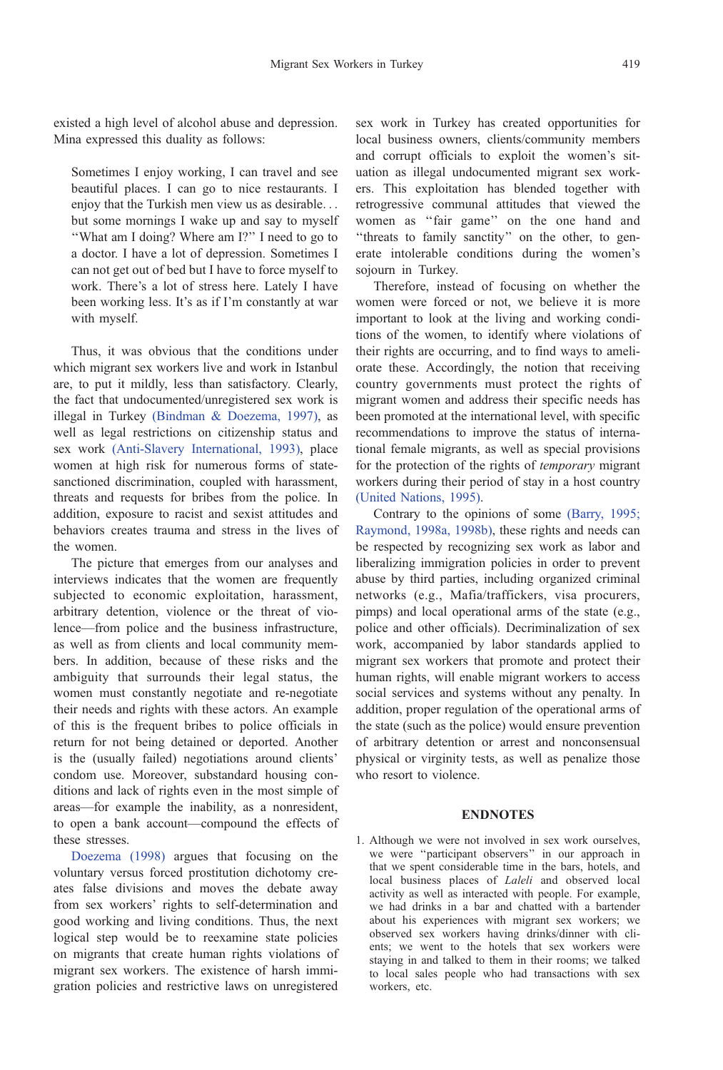existed a high level of alcohol abuse and depression. Mina expressed this duality as follows:

Sometimes I enjoy working, I can travel and see beautiful places. I can go to nice restaurants. I enjoy that the Turkish men view us as desirable... but some mornings I wake up and say to myself ''What am I doing? Where am I?'' I need to go to a doctor. I have a lot of depression. Sometimes I can not get out of bed but I have to force myself to work. There's a lot of stress here. Lately I have been working less. It's as if I'm constantly at war with myself.

Thus, it was obvious that the conditions under which migrant sex workers live and work in Istanbul are, to put it mildly, less than satisfactory. Clearly, the fact that undocumented/unregistered sex work is illegal in Turkey [\(Bindman & Doezema, 1997\),](#page-9-0) as well as legal restrictions on citizenship status and sex work [\(Anti-Slavery International, 1993\),](#page-9-0) place women at high risk for numerous forms of statesanctioned discrimination, coupled with harassment, threats and requests for bribes from the police. In addition, exposure to racist and sexist attitudes and behaviors creates trauma and stress in the lives of the women.

The picture that emerges from our analyses and interviews indicates that the women are frequently subjected to economic exploitation, harassment, arbitrary detention, violence or the threat of violence—from police and the business infrastructure, as well as from clients and local community members. In addition, because of these risks and the ambiguity that surrounds their legal status, the women must constantly negotiate and re-negotiate their needs and rights with these actors. An example of this is the frequent bribes to police officials in return for not being detained or deported. Another is the (usually failed) negotiations around clients' condom use. Moreover, substandard housing conditions and lack of rights even in the most simple of areas—for example the inability, as a nonresident, to open a bank account—compound the effects of these stresses.

[Doezema \(1998\)](#page-9-0) argues that focusing on the voluntary versus forced prostitution dichotomy creates false divisions and moves the debate away from sex workers' rights to self-determination and good working and living conditions. Thus, the next logical step would be to reexamine state policies on migrants that create human rights violations of migrant sex workers. The existence of harsh immigration policies and restrictive laws on unregistered sex work in Turkey has created opportunities for local business owners, clients/community members and corrupt officials to exploit the women's situation as illegal undocumented migrant sex workers. This exploitation has blended together with retrogressive communal attitudes that viewed the women as ''fair game'' on the one hand and ''threats to family sanctity'' on the other, to generate intolerable conditions during the women's sojourn in Turkey.

Therefore, instead of focusing on whether the women were forced or not, we believe it is more important to look at the living and working conditions of the women, to identify where violations of their rights are occurring, and to find ways to ameliorate these. Accordingly, the notion that receiving country governments must protect the rights of migrant women and address their specific needs has been promoted at the international level, with specific recommendations to improve the status of international female migrants, as well as special provisions for the protection of the rights of temporary migrant workers during their period of stay in a host country [\(United Nations, 1995\).](#page-10-0)

Contrary to the opinions of some [\(Barry, 1995;](#page-9-0) Raymond, 1998a, 1998b), these rights and needs can be respected by recognizing sex work as labor and liberalizing immigration policies in order to prevent abuse by third parties, including organized criminal networks (e.g., Mafia/traffickers, visa procurers, pimps) and local operational arms of the state (e.g., police and other officials). Decriminalization of sex work, accompanied by labor standards applied to migrant sex workers that promote and protect their human rights, will enable migrant workers to access social services and systems without any penalty. In addition, proper regulation of the operational arms of the state (such as the police) would ensure prevention of arbitrary detention or arrest and nonconsensual physical or virginity tests, as well as penalize those who resort to violence.

## ENDNOTES

1. Although we were not involved in sex work ourselves, we were ''participant observers'' in our approach in that we spent considerable time in the bars, hotels, and local business places of Laleli and observed local activity as well as interacted with people. For example, we had drinks in a bar and chatted with a bartender about his experiences with migrant sex workers; we observed sex workers having drinks/dinner with clients; we went to the hotels that sex workers were staying in and talked to them in their rooms; we talked to local sales people who had transactions with sex workers, etc.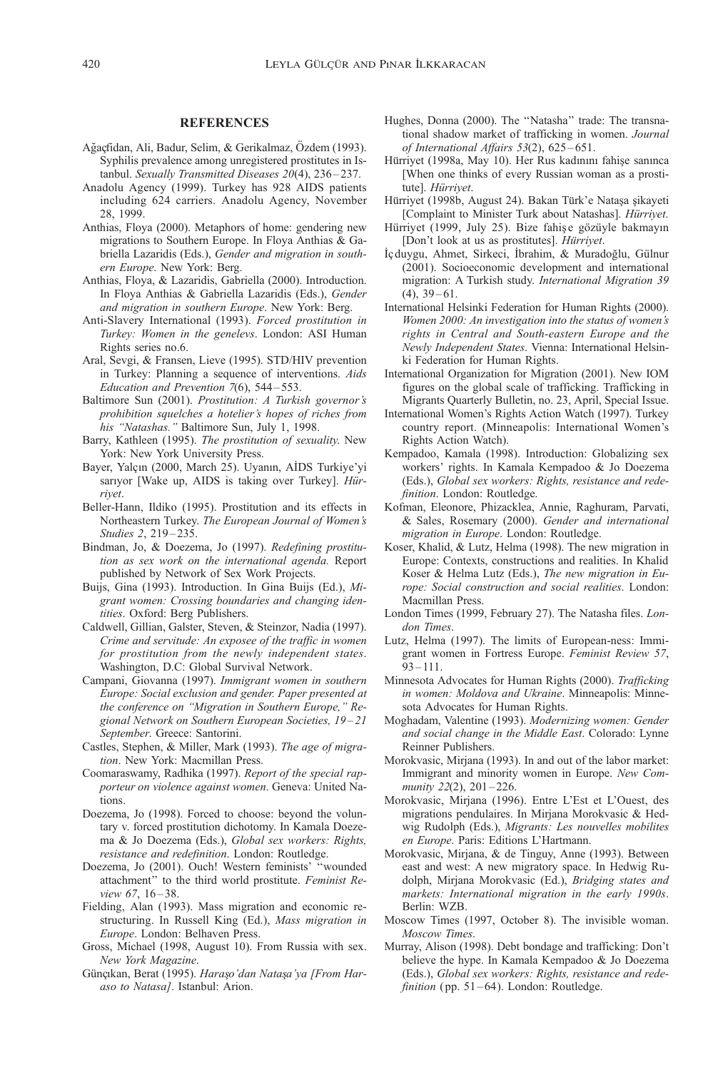- <span id="page-9-0"></span>Ağaçfidan, Ali, Badur, Selim, & Gerikalmaz, Özdem (1993). Syphilis prevalence among unregistered prostitutes in Istanbul. Sexually Transmitted Diseases 20(4), 236-237.
- Anadolu Agency (1999). Turkey has 928 AIDS patients including 624 carriers. Anadolu Agency, November 28, 1999.
- Anthias, Floya (2000). Metaphors of home: gendering new migrations to Southern Europe. In Floya Anthias & Gabriella Lazaridis (Eds.), Gender and migration in southern Europe. New York: Berg.
- Anthias, Floya, & Lazaridis, Gabriella (2000). Introduction. In Floya Anthias & Gabriella Lazaridis (Eds.), Gender and migration in southern Europe. New York: Berg.
- Anti-Slavery International (1993). Forced prostitution in Turkey: Women in the genelevs. London: ASI Human Rights series no.6.
- Aral, Sevgi, & Fransen, Lieve (1995). STD/HIV prevention in Turkey: Planning a sequence of interventions. Aids Education and Prevention 7(6), 544 – 553.
- Baltimore Sun (2001). Prostitution: A Turkish governor's prohibition squelches a hotelier's hopes of riches from his "Natashas." Baltimore Sun, July 1, 1998.
- Barry, Kathleen (1995). The prostitution of sexuality. New York: New York University Press.
- Bayer, Yalçın (2000, March 25). Uyanın, AİDS Turkiye'yi sarıyor [Wake up, AIDS is taking over Turkey]. Hürriyet.
- Beller-Hann, Ildiko (1995). Prostitution and its effects in Northeastern Turkey. The European Journal of Women's Studies 2, 219-235.
- Bindman, Jo, & Doezema, Jo (1997). Redefining prostitution as sex work on the international agenda. Report published by Network of Sex Work Projects.
- Buijs, Gina (1993). Introduction. In Gina Buijs (Ed.), Migrant women: Crossing boundaries and changing identities. Oxford: Berg Publishers.
- Caldwell, Gillian, Galster, Steven, & Steinzor, Nadia (1997). Crime and servitude: An exposee of the traffic in women for prostitution from the newly independent states. Washington, D.C: Global Survival Network.
- Campani, Giovanna (1997). Immigrant women in southern Europe: Social exclusion and gender. Paper presented at the conference on ''Migration in Southern Europe,'' Regional Network on Southern European Societies, 19 – 21 September. Greece: Santorini.
- Castles, Stephen, & Miller, Mark (1993). The age of migration. New York: Macmillan Press.
- Coomaraswamy, Radhika (1997). Report of the special rapporteur on violence against women. Geneva: United Nations.
- Doezema, Jo (1998). Forced to choose: beyond the voluntary v. forced prostitution dichotomy. In Kamala Doezema & Jo Doezema (Eds.), Global sex workers: Rights, resistance and redefinition. London: Routledge.
- Doezema, Jo (2001). Ouch! Western feminists' ''wounded attachment'' to the third world prostitute. Feminist Review 67,  $16 - 38$ .
- Fielding, Alan (1993). Mass migration and economic restructuring. In Russell King (Ed.), Mass migration in Europe. London: Belhaven Press.
- Gross, Michael (1998, August 10). From Russia with sex. New York Magazine.
- Günçıkan, Berat (1995). Haraşo'dan Nataşa'ya [From Haraso to Natasa]. Istanbul: Arion.
- Hughes, Donna (2000). The ''Natasha'' trade: The transnational shadow market of trafficking in women. Journal of International Affairs 53(2), 625 – 651.
- Hürriyet (1998a, May 10). Her Rus kadınını fahişe sanınca [When one thinks of every Russian woman as a prostitute]. Hürriyet.
- Hürriyet (1998b, August 24). Bakan Türk'e Nataşa şikayeti [Complaint to Minister Turk about Natashas]. Hürrivet.
- Hürriyet (1999, July 25). Bize fahişe gözüyle bakmayın [Don't look at us as prostitutes]. Hürriyet.
- İçduygu, Ahmet, Sirkeci, İbrahim, & Muradoğlu, Gülnur (2001). Socioeconomic development and international migration: A Turkish study. International Migration 39  $(4)$ , 39 – 61.
- International Helsinki Federation for Human Rights (2000). Women 2000: An investigation into the status of women's rights in Central and South-eastern Europe and the Newly Independent States. Vienna: International Helsinki Federation for Human Rights.
- International Organization for Migration (2001). New IOM figures on the global scale of trafficking. Trafficking in Migrants Quarterly Bulletin, no. 23, April, Special Issue.
- International Women's Rights Action Watch (1997). Turkey country report. (Minneapolis: International Women's Rights Action Watch).
- Kempadoo, Kamala (1998). Introduction: Globalizing sex workers' rights. In Kamala Kempadoo & Jo Doezema (Eds.), Global sex workers: Rights, resistance and redefinition. London: Routledge.
- Kofman, Eleonore, Phizacklea, Annie, Raghuram, Parvati, & Sales, Rosemary (2000). Gender and international migration in Europe. London: Routledge.
- Koser, Khalid, & Lutz, Helma (1998). The new migration in Europe: Contexts, constructions and realities. In Khalid Koser & Helma Lutz (Eds.), The new migration in Europe: Social construction and social realities. London: Macmillan Press.
- London Times (1999, February 27). The Natasha files. London Times.
- Lutz, Helma (1997). The limits of European-ness: Immigrant women in Fortress Europe. Feminist Review 57, 93 – 111.
- Minnesota Advocates for Human Rights (2000). Trafficking in women: Moldova and Ukraine. Minneapolis: Minnesota Advocates for Human Rights.
- Moghadam, Valentine (1993). Modernizing women: Gender and social change in the Middle East. Colorado: Lynne Reinner Publishers.
- Morokvasic, Mirjana (1993). In and out of the labor market: Immigrant and minority women in Europe. New Community 22(2), 201-226.
- Morokvasic, Mirjana (1996). Entre L'Est et L'Ouest, des migrations pendulaires. In Mirjana Morokvasic & Hedwig Rudolph (Eds.), Migrants: Les nouvelles mobilites en Europe. Paris: Editions L'Hartmann.
- Morokvasic, Mirjana, & de Tinguy, Anne (1993). Between east and west: A new migratory space. In Hedwig Rudolph, Mirjana Morokvasic (Ed.), Bridging states and markets: International migration in the early 1990s. Berlin: WZB.
- Moscow Times (1997, October 8). The invisible woman. Moscow Times.
- Murray, Alison (1998). Debt bondage and trafficking: Don't believe the hype. In Kamala Kempadoo & Jo Doezema (Eds.), Global sex workers: Rights, resistance and redefinition (pp. 51-64). London: Routledge.